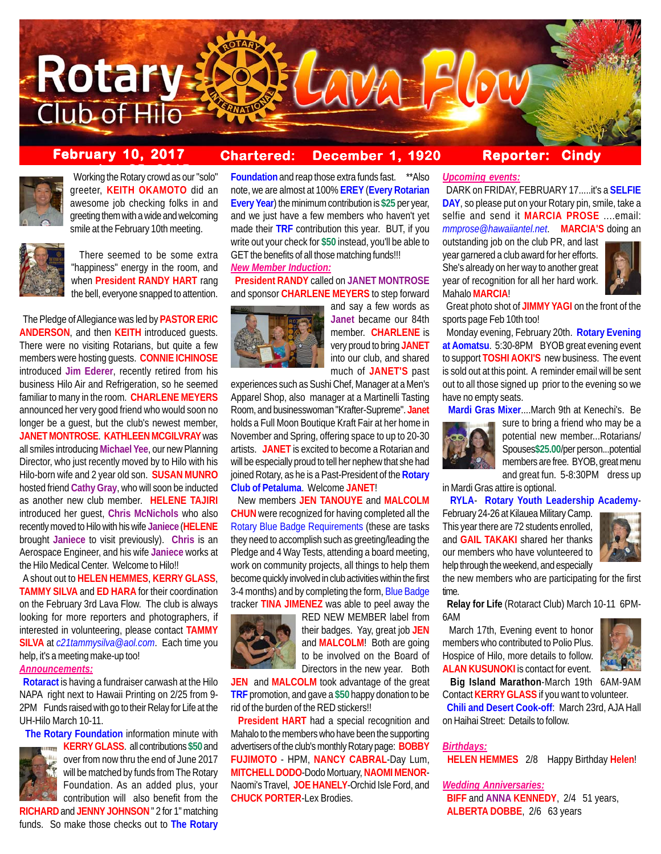

# **February 10, 2017 Chartered: December 1, 1920**

**Reporter: Cindy**



**Working the Rotary crowd as our "solo"** greeter, **KEITH OKAMOTO** did an awesome job checking folks in and greeting them with a wide and welcoming smile at the February 10th meeting.



 There seemed to be some extra "happiness" energy in the room, and when **President RANDY HART** rang the bell, everyone snapped to attention.

 The Pledge of Allegiance was led by **PASTOR ERIC ANDERSON**, and then **KEITH** introduced guests. There were no visiting Rotarians, but quite a few members were hosting guests. **CONNIE ICHINOSE** introduced **Jim Ederer**, recently retired from his business Hilo Air and Refrigeration, so he seemed familiar to many in the room. **CHARLENE MEYERS** announced her very good friend who would soon no longer be a guest, but the club's newest member, **JANET MONTROSE**. **KATHLEEN MCGILVRAY** was all smiles introducing **Michael Yee**, our new Planning Director, who just recently moved by to Hilo with his Hilo-born wife and 2 year old son. **SUSAN MUNRO** hosted friend **Cathy Gray**, who will soon be inducted as another new club member. **HELENE TAJIRI** introduced her guest, **Chris McNichols** who also recently moved to Hilo with his wife **Janiece** (**HELENE** brought **Janiece** to visit previously). **Chris** is an Aerospace Engineer, and his wife **Janiece** works at the Hilo Medical Center. Welcome to Hilo!!

 A shout out to **HELEN HEMMES**, **KERRY GLASS**, **TAMMY SILVA** and **ED HARA** for their coordination on the February 3rd Lava Flow. The club is always looking for more reporters and photographers, if interested in volunteering, please contact **TAMMY SILVA** at *c21tammysilva@aol.com*. Each time you help, it's a meeting make-up too!

## *Announcements:*

 **Rotaract** is having a fundraiser carwash at the Hilo NAPA right next to Hawaii Printing on 2/25 from 9- 2PM Funds raised with go to their Relay for Life at the UH-Hilo March 10-11.

**The Rotary Foundation** information minute with



**KERRY GLASS.** all contributions \$50 and over from now thru the end of June 2017 will be matched by funds from The Rotary Foundation. As an added plus, your contribution will also benefit from the

**RICHARD** and **JENNY JOHNSON** '' 2 for 1'' matching funds. So make those checks out to **The Rotary**

**Foundation** and reap those extra funds fast. \*\*Also note, we are almost at 100% **EREY** (**Every Rotarian Every Year**) the minimum contribution is **\$25** per year, and we just have a few members who haven't yet made their **TRF** contribution this year. BUT, if you write out your check for **\$50** instead, you'll be able to GET the benefits of all those matching funds!!! *New Member Induction:*

## **President RANDY** called on **JANET MONTROSE** and sponsor **CHARLENE MEYERS** to step forward



and say a few words as **Janet** became our 84th member. **CHARLENE** is very proud to bring **JANET** into our club, and shared much of **JANET'S** past

experiences such as Sushi Chef, Manager at a Men's Apparel Shop, also manager at a Martinelli Tasting Room, and businesswoman "Krafter-Supreme". **Janet** holds a Full Moon Boutique Kraft Fair at her home in November and Spring, offering space to up to 20-30 artists. **JANET** is excited to become a Rotarian and will be especially proud to tell her nephew that she had joined Rotary, as he is a Past-President of the **Rotary Club of Petaluma**. Welcome **JANET**!

 New members **JEN TANOUYE** and **MALCOLM CHUN** were recognized for having completed all the Rotary Blue Badge Requirements (these are tasks they need to accomplish such as greeting/leading the Pledge and 4 Way Tests, attending a board meeting, work on community projects, all things to help them become quickly involved in club activities within the first 3-4 months) and by completing the form, Blue Badge tracker **TINA JIMENEZ** was able to peel away the



RED NEW MEMBER label from their badges. Yay, great job **JEN** and **MALCOLM**! Both are going to be involved on the Board of Directors in the new year. Both

**JEN** and **MALCOLM** took advantage of the great **TRF** promotion, and gave a **\$50** happy donation to be rid of the burden of the RED stickers!!

 **President HART** had a special recognition and Mahalo to the members who have been the supporting advertisers of the club's monthly Rotary page: **BOBBY FUJIMOTO** - HPM, **NANCY CABRAL**-Day Lum, **MITCHELL DODO**-Dodo Mortuary, **NAOMI MENOR**-Naomi's Travel, **JOE HANELY**-Orchid Isle Ford, and **CHUCK PORTER**-Lex Brodies.

## *Upcoming events:*

 DARK on FRIDAY, FEBRUARY 17.....it's a **SELFIE DAY**, so please put on your Rotary pin, smile, take a selfie and send it **MARCIA PROSE** ....email: *mmprose@hawaiiantel.net*. **MARCIA'S** doing an

outstanding job on the club PR, and last year garnered a club award for her efforts. She's already on her way to another great year of recognition for all her hard work. Mahalo **MARCIA**!



 Great photo shot of **JIMMY YAGI** on the front of the sports page Feb 10th too!

 Monday evening, February 20th. **Rotary Evening at Aomatsu**. 5:30-8PM BYOB great evening event to support **TOSHI AOKI'S** new business. The event is sold out at this point. A reminder email will be sent out to all those signed up prior to the evening so we have no empty seats.

 **Mardi Gras Mixer**....March 9th at Kenechi's. Be



sure to bring a friend who may be a potential new member...Rotarians/ Spouses**\$25.00**/per person...potential members are free. BYOB, great menu and great fun. 5-8:30PM dress up

in Mardi Gras attire is optional.

**RYLA**- **Rotary Youth Leadership Academy**-

February 24-26 at Kilauea Military Camp. This year there are 72 students enrolled, and **GAIL TAKAKI** shared her thanks our members who have volunteered to help through the weekend, and especially



the new members who are participating for the first time.

 **Relay for Life** (Rotaract Club) March 10-11 6PM-6AM

 March 17th, Evening event to honor members who contributed to Polio Plus. Hospice of Hilo, more details to follow. **ALAN KUSUNOKI** is contact for event.



 **Big Island Marathon**-March 19th 6AM-9AM Contact **KERRY GLASS** if you want to volunteer. **Chili and Desert Cook-off**: March 23rd, AJA Hall

on Haihai Street: Details to follow.

### *Birthdays:*

**HELEN HEMMES** 2/8 Happy Birthday **Helen**!

*Wedding Anniversaries:*  **BIFF** and **ANNA KENNEDY**, 2/4 51 years, **ALBERTA DOBBE**, 2/6 63 years